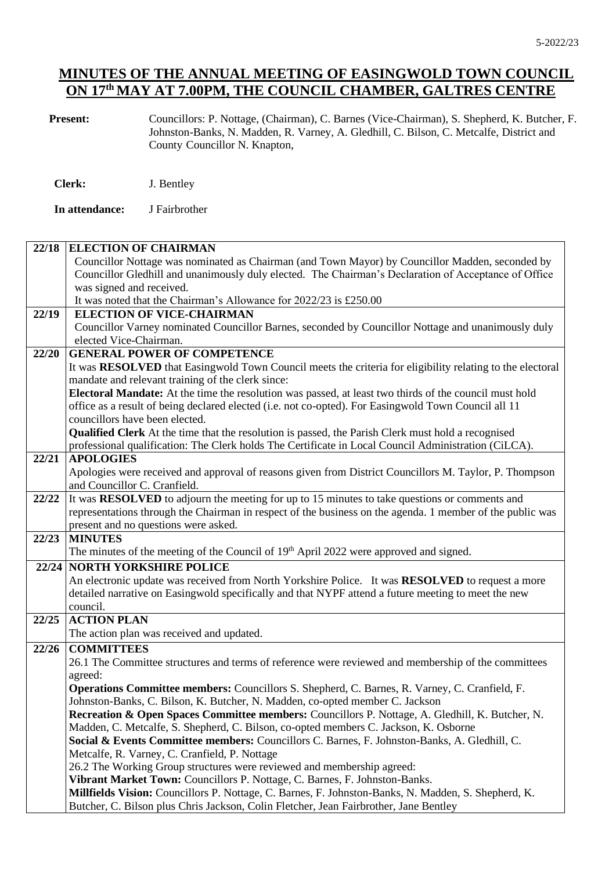**Present:** Councillors: P. Nottage, (Chairman), C. Barnes (Vice-Chairman), S. Shepherd, K. Butcher, F. Johnston-Banks, N. Madden, R. Varney, A. Gledhill, C. Bilson, C. Metcalfe, District and County Councillor N. Knapton,

| <b>Clerk:</b> | J. Bentley |
|---------------|------------|
|               |            |

**In attendance:** J Fairbrother

#### **22/18 ELECTION OF CHAIRMAN** Councillor Nottage was nominated as Chairman (and Town Mayor) by Councillor Madden, seconded by Councillor Gledhill and unanimously duly elected. The Chairman's Declaration of Acceptance of Office was signed and received. It was noted that the Chairman's Allowance for 2022/23 is £250.00 **22/19 ELECTION OF VICE-CHAIRMAN** Councillor Varney nominated Councillor Barnes, seconded by Councillor Nottage and unanimously duly elected Vice-Chairman. **22/20 GENERAL POWER OF COMPETENCE** It was **RESOLVED** that Easingwold Town Council meets the criteria for eligibility relating to the electoral mandate and relevant training of the clerk since: **Electoral Mandate:** At the time the resolution was passed, at least two thirds of the council must hold office as a result of being declared elected (i.e. not co-opted). For Easingwold Town Council all 11 councillors have been elected. **Qualified Clerk** At the time that the resolution is passed, the Parish Clerk must hold a recognised professional qualification: The Clerk holds The Certificate in Local Council Administration (CiLCA). **22/21 APOLOGIES** Apologies were received and approval of reasons given from District Councillors M. Taylor, P. Thompson and Councillor C. Cranfield. **22/22** It was **RESOLVED** to adjourn the meeting for up to 15 minutes to take questions or comments and representations through the Chairman in respect of the business on the agenda. 1 member of the public was present and no questions were asked. **22/23 MINUTES** The minutes of the meeting of the Council of 19<sup>th</sup> April 2022 were approved and signed. **22/24 NORTH YORKSHIRE POLICE** An electronic update was received from North Yorkshire Police. It was **RESOLVED** to request a more detailed narrative on Easingwold specifically and that NYPF attend a future meeting to meet the new council. **22/25 ACTION PLAN**  The action plan was received and updated. **22/26 COMMITTEES** 26.1 The Committee structures and terms of reference were reviewed and membership of the committees agreed: **Operations Committee members:** Councillors S. Shepherd, C. Barnes, R. Varney, C. Cranfield, F. Johnston-Banks, C. Bilson, K. Butcher, N. Madden, co-opted member C. Jackson **Recreation & Open Spaces Committee members:** Councillors P. Nottage, A. Gledhill, K. Butcher, N. Madden, C. Metcalfe, S. Shepherd, C. Bilson, co-opted members C. Jackson, K. Osborne **Social & Events Committee members:** Councillors C. Barnes, F. Johnston-Banks, A. Gledhill, C. Metcalfe, R. Varney, C. Cranfield, P. Nottage 26.2 The Working Group structures were reviewed and membership agreed: **Vibrant Market Town:** Councillors P. Nottage, C. Barnes, F. Johnston-Banks. **Millfields Vision:** Councillors P. Nottage, C. Barnes, F. Johnston-Banks, N. Madden, S. Shepherd, K. Butcher, C. Bilson plus Chris Jackson, Colin Fletcher, Jean Fairbrother, Jane Bentley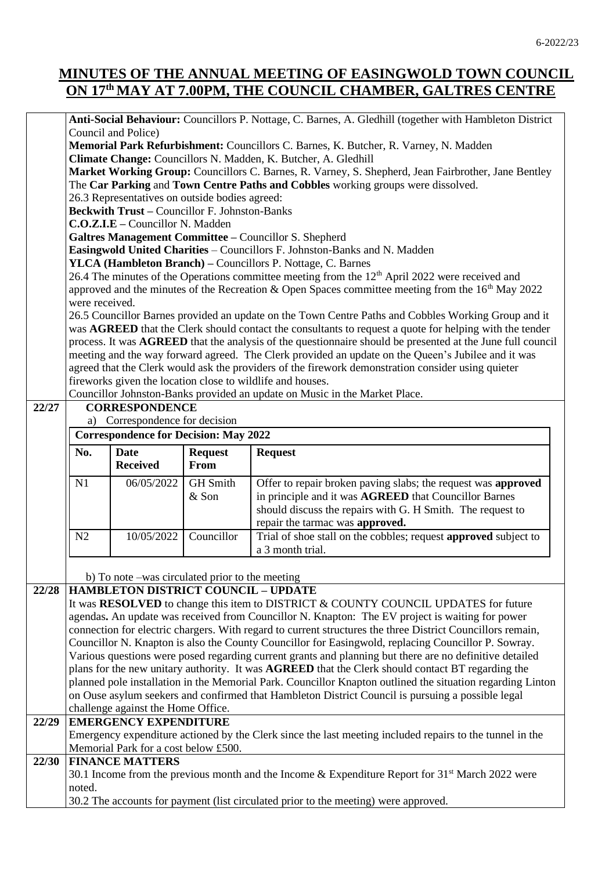**Anti-Social Behaviour:** Councillors P. Nottage, C. Barnes, A. Gledhill (together with Hambleton District Council and Police) **Memorial Park Refurbishment:** Councillors C. Barnes, K. Butcher, R. Varney, N. Madden **Climate Change:** Councillors N. Madden, K. Butcher, A. Gledhill

**Market Working Group:** Councillors C. Barnes, R. Varney, S. Shepherd, Jean Fairbrother, Jane Bentley The **Car Parking** and **Town Centre Paths and Cobbles** working groups were dissolved.

26.3 Representatives on outside bodies agreed:

**Beckwith Trust –** Councillor F. Johnston-Banks

**C.O.Z.I.E –** Councillor N. Madden

**Galtres Management Committee –** Councillor S. Shepherd

**Easingwold United Charities** – Councillors F. Johnston-Banks and N. Madden

**YLCA (Hambleton Branch) –** Councillors P. Nottage, C. Barnes

26.4 The minutes of the Operations committee meeting from the 12<sup>th</sup> April 2022 were received and approved and the minutes of the Recreation  $\&$  Open Spaces committee meeting from the 16<sup>th</sup> May 2022 were received.

26.5 Councillor Barnes provided an update on the Town Centre Paths and Cobbles Working Group and it was **AGREED** that the Clerk should contact the consultants to request a quote for helping with the tender process. It was **AGREED** that the analysis of the questionnaire should be presented at the June full council meeting and the way forward agreed. The Clerk provided an update on the Queen's Jubilee and it was agreed that the Clerk would ask the providers of the firework demonstration consider using quieter fireworks given the location close to wildlife and houses.

Councillor Johnston-Banks provided an update on Music in the Market Place.

|     | <b>Correspondence for Decision: May 2022</b> |                               |                                                                                                                                                                                                                                |
|-----|----------------------------------------------|-------------------------------|--------------------------------------------------------------------------------------------------------------------------------------------------------------------------------------------------------------------------------|
| No. | <b>Date</b><br><b>Received</b>               | <b>Request</b><br><b>From</b> | <b>Request</b>                                                                                                                                                                                                                 |
| N1  | 06/05/2022                                   | <b>GH</b> Smith<br>$&$ Son    | Offer to repair broken paving slabs; the request was approved<br>in principle and it was <b>AGREED</b> that Councillor Barnes<br>should discuss the repairs with G. H Smith. The request to<br>repair the tarmac was approved. |
| N2  | 10/05/2022                                   | Councillor                    | Trial of shoe stall on the cobbles; request <b>approved</b> subject to<br>a 3 month trial.                                                                                                                                     |

**22/28 HAMBLETON DISTRICT COUNCIL – UPDATE**

It was **RESOLVED** to change this item to DISTRICT & COUNTY COUNCIL UPDATES for future agendas**.** An update was received from Councillor N. Knapton: The EV project is waiting for power connection for electric chargers. With regard to current structures the three District Councillors remain, Councillor N. Knapton is also the County Councillor for Easingwold, replacing Councillor P. Sowray. Various questions were posed regarding current grants and planning but there are no definitive detailed plans for the new unitary authority. It was **AGREED** that the Clerk should contact BT regarding the planned pole installation in the Memorial Park. Councillor Knapton outlined the situation regarding Linton on Ouse asylum seekers and confirmed that Hambleton District Council is pursuing a possible legal challenge against the Home Office.

# **22/29 EMERGENCY EXPENDITURE**

Emergency expenditure actioned by the Clerk since the last meeting included repairs to the tunnel in the Memorial Park for a cost below £500.

#### **22/30 FINANCE MATTERS** 30.1 Income from the previous month and the Income & Expenditure Report for  $31<sup>st</sup>$  March 2022 were noted. 30.2 The accounts for payment (list circulated prior to the meeting) were approved.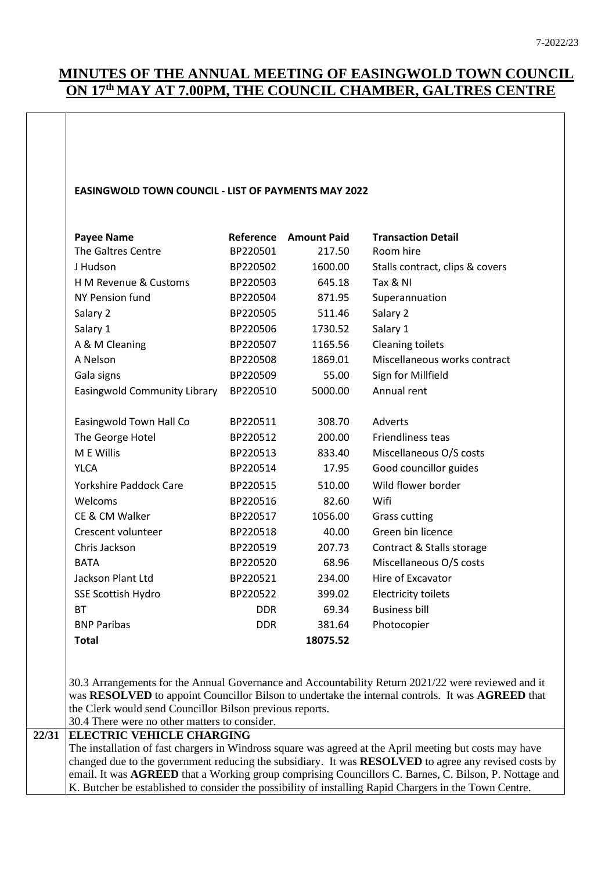#### **EASINGWOLD TOWN COUNCIL - LIST OF PAYMENTS MAY 2022**

| <b>Payee Name</b>             | Reference  | <b>Amount Paid</b> | <b>Transaction Detail</b>       |
|-------------------------------|------------|--------------------|---------------------------------|
| The Galtres Centre            | BP220501   | 217.50             | Room hire                       |
| J Hudson                      | BP220502   | 1600.00            | Stalls contract, clips & covers |
| H M Revenue & Customs         | BP220503   | 645.18             | Tax & NI                        |
| NY Pension fund               | BP220504   | 871.95             | Superannuation                  |
| Salary 2                      | BP220505   | 511.46             | Salary 2                        |
| Salary 1                      | BP220506   | 1730.52            | Salary 1                        |
| A & M Cleaning                | BP220507   | 1165.56            | <b>Cleaning toilets</b>         |
| A Nelson                      | BP220508   | 1869.01            | Miscellaneous works contract    |
| Gala signs                    | BP220509   | 55.00              | Sign for Millfield              |
| Easingwold Community Library  | BP220510   | 5000.00            | Annual rent                     |
|                               |            |                    |                                 |
| Easingwold Town Hall Co       | BP220511   | 308.70             | Adverts                         |
| The George Hotel              | BP220512   | 200.00             | <b>Friendliness teas</b>        |
| M E Willis                    | BP220513   | 833.40             | Miscellaneous O/S costs         |
| <b>YLCA</b>                   | BP220514   | 17.95              | Good councillor guides          |
| <b>Yorkshire Paddock Care</b> | BP220515   | 510.00             | Wild flower border              |
| Welcoms                       | BP220516   | 82.60              | Wifi                            |
| CE & CM Walker                | BP220517   | 1056.00            | <b>Grass cutting</b>            |
| Crescent volunteer            | BP220518   | 40.00              | Green bin licence               |
| Chris Jackson                 | BP220519   | 207.73             | Contract & Stalls storage       |
| <b>BATA</b>                   | BP220520   | 68.96              | Miscellaneous O/S costs         |
| Jackson Plant Ltd             | BP220521   | 234.00             | Hire of Excavator               |
| <b>SSE Scottish Hydro</b>     | BP220522   | 399.02             | <b>Electricity toilets</b>      |
| <b>BT</b>                     | <b>DDR</b> | 69.34              | <b>Business bill</b>            |
| <b>BNP Paribas</b>            | <b>DDR</b> | 381.64             | Photocopier                     |
| <b>Total</b>                  |            | 18075.52           |                                 |
|                               |            |                    |                                 |
|                               |            |                    |                                 |

30.3 Arrangements for the Annual Governance and Accountability Return 2021/22 were reviewed and it was **RESOLVED** to appoint Councillor Bilson to undertake the internal controls. It was **AGREED** that the Clerk would send Councillor Bilson previous reports.

### 30.4 There were no other matters to consider. **22/31 ELECTRIC VEHICLE CHARGING** The installation of fast chargers in Windross square was agreed at the April meeting but costs may have

changed due to the government reducing the subsidiary. It was **RESOLVED** to agree any revised costs by email. It was **AGREED** that a Working group comprising Councillors C. Barnes, C. Bilson, P. Nottage and K. Butcher be established to consider the possibility of installing Rapid Chargers in the Town Centre.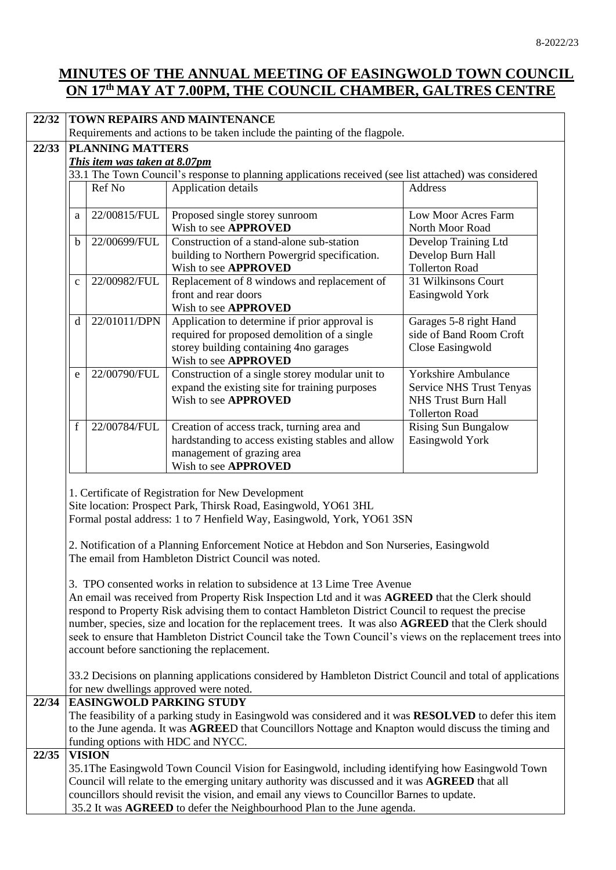| 22/32 | TOWN REPAIRS AND MAINTENANCE                                                                                                                                                                 |               |                                                                                                        |                                        |  |
|-------|----------------------------------------------------------------------------------------------------------------------------------------------------------------------------------------------|---------------|--------------------------------------------------------------------------------------------------------|----------------------------------------|--|
|       | Requirements and actions to be taken include the painting of the flagpole.                                                                                                                   |               |                                                                                                        |                                        |  |
| 22/33 | <b>PLANNING MATTERS</b>                                                                                                                                                                      |               |                                                                                                        |                                        |  |
|       | This item was taken at 8.07pm                                                                                                                                                                |               |                                                                                                        |                                        |  |
|       |                                                                                                                                                                                              |               | 33.1 The Town Council's response to planning applications received (see list attached) was considered  |                                        |  |
|       |                                                                                                                                                                                              | Ref No        | Application details                                                                                    | Address                                |  |
|       | a                                                                                                                                                                                            | 22/00815/FUL  | Proposed single storey sunroom<br>Wish to see APPROVED                                                 | Low Moor Acres Farm<br>North Moor Road |  |
|       | b                                                                                                                                                                                            | 22/00699/FUL  | Construction of a stand-alone sub-station                                                              | Develop Training Ltd                   |  |
|       |                                                                                                                                                                                              |               | building to Northern Powergrid specification.                                                          | Develop Burn Hall                      |  |
|       |                                                                                                                                                                                              |               | Wish to see APPROVED                                                                                   | <b>Tollerton Road</b>                  |  |
|       | $\mathbf{C}$                                                                                                                                                                                 | 22/00982/FUL  | Replacement of 8 windows and replacement of                                                            | 31 Wilkinsons Court                    |  |
|       |                                                                                                                                                                                              |               | front and rear doors                                                                                   | Easingwold York                        |  |
|       |                                                                                                                                                                                              |               | Wish to see APPROVED                                                                                   |                                        |  |
|       | $\mathbf d$                                                                                                                                                                                  | 22/01011/DPN  | Application to determine if prior approval is                                                          | Garages 5-8 right Hand                 |  |
|       |                                                                                                                                                                                              |               | required for proposed demolition of a single                                                           | side of Band Room Croft                |  |
|       |                                                                                                                                                                                              |               | storey building containing 4no garages                                                                 | Close Easingwold                       |  |
|       |                                                                                                                                                                                              |               | Wish to see APPROVED                                                                                   |                                        |  |
|       | e                                                                                                                                                                                            | 22/00790/FUL  | Construction of a single storey modular unit to                                                        | Yorkshire Ambulance                    |  |
|       |                                                                                                                                                                                              |               | expand the existing site for training purposes                                                         | <b>Service NHS Trust Tenyas</b>        |  |
|       |                                                                                                                                                                                              |               | Wish to see <b>APPROVED</b>                                                                            | <b>NHS Trust Burn Hall</b>             |  |
|       |                                                                                                                                                                                              |               |                                                                                                        | <b>Tollerton Road</b>                  |  |
|       | f                                                                                                                                                                                            | 22/00784/FUL  | Creation of access track, turning area and                                                             | <b>Rising Sun Bungalow</b>             |  |
|       |                                                                                                                                                                                              |               | hardstanding to access existing stables and allow                                                      | Easingwold York                        |  |
|       |                                                                                                                                                                                              |               | management of grazing area                                                                             |                                        |  |
|       |                                                                                                                                                                                              |               | Wish to see APPROVED                                                                                   |                                        |  |
|       |                                                                                                                                                                                              |               |                                                                                                        |                                        |  |
|       | 1. Certificate of Registration for New Development<br>Site location: Prospect Park, Thirsk Road, Easingwold, YO61 3HL                                                                        |               |                                                                                                        |                                        |  |
|       | Formal postal address: 1 to 7 Henfield Way, Easingwold, York, YO61 3SN                                                                                                                       |               |                                                                                                        |                                        |  |
|       |                                                                                                                                                                                              |               |                                                                                                        |                                        |  |
|       | 2. Notification of a Planning Enforcement Notice at Hebdon and Son Nurseries, Easingwold                                                                                                     |               |                                                                                                        |                                        |  |
|       | The email from Hambleton District Council was noted.                                                                                                                                         |               |                                                                                                        |                                        |  |
|       |                                                                                                                                                                                              |               |                                                                                                        |                                        |  |
|       | 3. TPO consented works in relation to subsidence at 13 Lime Tree Avenue                                                                                                                      |               |                                                                                                        |                                        |  |
|       | An email was received from Property Risk Inspection Ltd and it was AGREED that the Clerk should                                                                                              |               |                                                                                                        |                                        |  |
|       | respond to Property Risk advising them to contact Hambleton District Council to request the precise                                                                                          |               |                                                                                                        |                                        |  |
|       | number, species, size and location for the replacement trees. It was also AGREED that the Clerk should                                                                                       |               |                                                                                                        |                                        |  |
|       | seek to ensure that Hambleton District Council take the Town Council's views on the replacement trees into                                                                                   |               |                                                                                                        |                                        |  |
|       | account before sanctioning the replacement.                                                                                                                                                  |               |                                                                                                        |                                        |  |
|       | 33.2 Decisions on planning applications considered by Hambleton District Council and total of applications                                                                                   |               |                                                                                                        |                                        |  |
|       | for new dwellings approved were noted.                                                                                                                                                       |               |                                                                                                        |                                        |  |
| 22/34 |                                                                                                                                                                                              |               | <b>EASINGWOLD PARKING STUDY</b>                                                                        |                                        |  |
|       |                                                                                                                                                                                              |               | The feasibility of a parking study in Easingwold was considered and it was RESOLVED to defer this item |                                        |  |
|       | to the June agenda. It was AGREED that Councillors Nottage and Knapton would discuss the timing and                                                                                          |               |                                                                                                        |                                        |  |
|       |                                                                                                                                                                                              |               | funding options with HDC and NYCC.                                                                     |                                        |  |
| 22/35 |                                                                                                                                                                                              | <b>VISION</b> | 35.1The Easingwold Town Council Vision for Easingwold, including identifying how Easingwold Town       |                                        |  |
|       |                                                                                                                                                                                              |               |                                                                                                        |                                        |  |
|       | Council will relate to the emerging unitary authority was discussed and it was AGREED that all<br>councillors should revisit the vision, and email any views to Councillor Barnes to update. |               |                                                                                                        |                                        |  |
|       | 35.2 It was AGREED to defer the Neighbourhood Plan to the June agenda.                                                                                                                       |               |                                                                                                        |                                        |  |